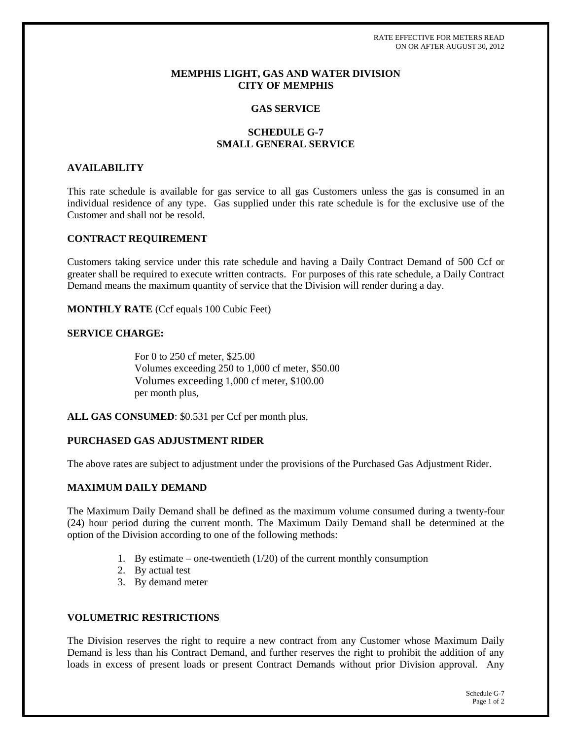RATE EFFECTIVE FOR METERS READ ON OR AFTER AUGUST 30, 2012

### **MEMPHIS LIGHT, GAS AND WATER DIVISION CITY OF MEMPHIS**

#### **GAS SERVICE**

## **SCHEDULE G-7 SMALL GENERAL SERVICE**

#### **AVAILABILITY**

This rate schedule is available for gas service to all gas Customers unless the gas is consumed in an individual residence of any type. Gas supplied under this rate schedule is for the exclusive use of the Customer and shall not be resold.

### **CONTRACT REQUIREMENT**

Customers taking service under this rate schedule and having a Daily Contract Demand of 500 Ccf or greater shall be required to execute written contracts. For purposes of this rate schedule, a Daily Contract Demand means the maximum quantity of service that the Division will render during a day.

**MONTHLY RATE** (Ccf equals 100 Cubic Feet)

## **SERVICE CHARGE:**

For 0 to 250 cf meter, \$25.00 Volumes exceeding 250 to 1,000 cf meter, \$50.00 Volumes exceeding 1,000 cf meter, \$100.00 per month plus,

**ALL GAS CONSUMED**: \$0.531 per Ccf per month plus,

### **PURCHASED GAS ADJUSTMENT RIDER**

The above rates are subject to adjustment under the provisions of the Purchased Gas Adjustment Rider.

### **MAXIMUM DAILY DEMAND**

The Maximum Daily Demand shall be defined as the maximum volume consumed during a twenty-four (24) hour period during the current month. The Maximum Daily Demand shall be determined at the option of the Division according to one of the following methods:

- 1. By estimate one-twentieth  $(1/20)$  of the current monthly consumption
- 2. By actual test
- 3. By demand meter

#### **VOLUMETRIC RESTRICTIONS**

The Division reserves the right to require a new contract from any Customer whose Maximum Daily Demand is less than his Contract Demand, and further reserves the right to prohibit the addition of any loads in excess of present loads or present Contract Demands without prior Division approval. Any